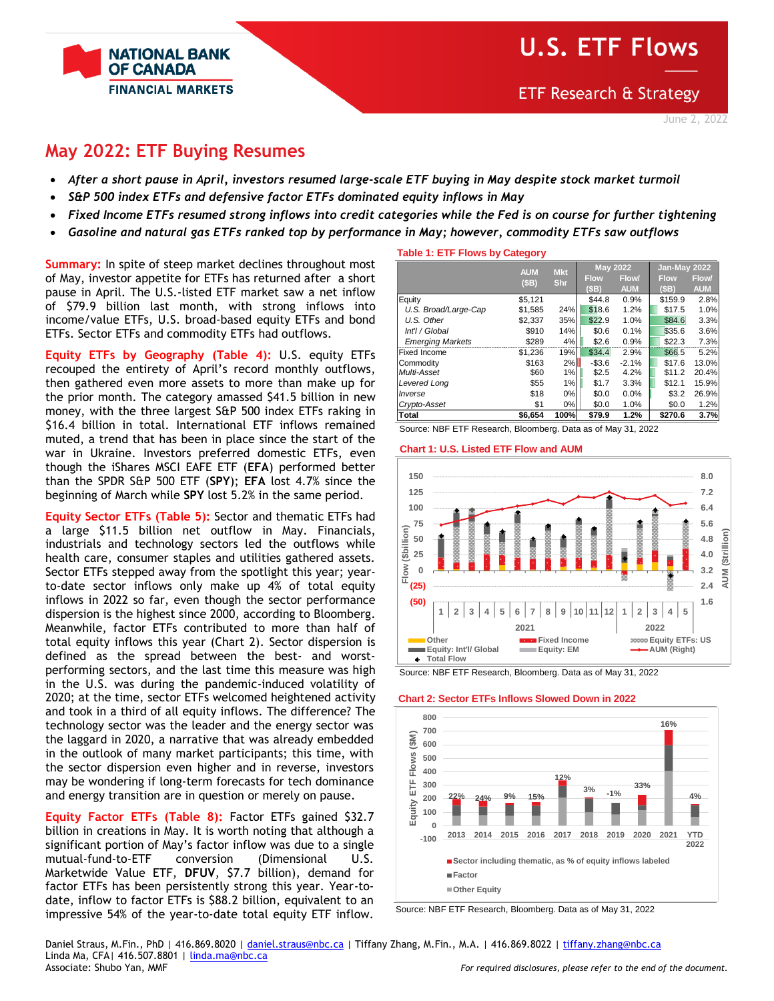# **U.S. ETF Flows**

**ETF Research & Strategy** 



## **May 2022: ETF Buying Resumes**

**NATIONAL BANK OF CANADA** 

**FINANCIAL MARKETS** 

- *After a short pause in April, investors resumed large-scale ETF buying in May despite stock market turmoil*
- *S&P 500 index ETFs and defensive factor ETFs dominated equity inflows in May*
- *Fixed Income ETFs resumed strong inflows into credit categories while the Fed is on course for further tightening*
- *Gasoline and natural gas ETFs ranked top by performance in May; however, commodity ETFs saw outflows*

**Summary:** In spite of steep market declines throughout most of May, investor appetite for ETFs has returned after a short pause in April. The U.S.-listed ETF market saw a net inflow of \$79.9 billion last month, with strong inflows into income/value ETFs, U.S. broad-based equity ETFs and bond ETFs. Sector ETFs and commodity ETFs had outflows.

**Equity ETFs by Geography (Table 4):** U.S. equity ETFs recouped the entirety of April's record monthly outflows, then gathered even more assets to more than make up for the prior month. The category amassed \$41.5 billion in new money, with the three largest S&P 500 index ETFs raking in \$16.4 billion in total. International ETF inflows remained muted, a trend that has been in place since the start of the war in Ukraine. Investors preferred domestic ETFs, even though the iShares MSCI EAFE ETF (**EFA**) performed better than the SPDR S&P 500 ETF (**SPY**); **EFA** lost 4.7% since the beginning of March while **SPY** lost 5.2% in the same period.

**Equity Sector ETFs (Table 5):** Sector and thematic ETFs had a large \$11.5 billion net outflow in May. Financials, industrials and technology sectors led the outflows while health care, consumer staples and utilities gathered assets. Sector ETFs stepped away from the spotlight this year; yearto-date sector inflows only make up 4% of total equity inflows in 2022 so far, even though the sector performance dispersion is the highest since 2000, according to Bloomberg. Meanwhile, factor ETFs contributed to more than half of total equity inflows this year (Chart 2). Sector dispersion is defined as the spread between the best- and worstperforming sectors, and the last time this measure was high in the U.S. was during the pandemic-induced volatility of 2020; at the time, sector ETFs welcomed heightened activity and took in a third of all equity inflows. The difference? The technology sector was the leader and the energy sector was the laggard in 2020, a narrative that was already embedded in the outlook of many market participants; this time, with the sector dispersion even higher and in reverse, investors may be wondering if long-term forecasts for tech dominance and energy transition are in question or merely on pause.

**Equity Factor ETFs (Table 8):** Factor ETFs gained \$32.7 billion in creations in May. It is worth noting that although a significant portion of May's factor inflow was due to a single mutual-fund-to-ETF conversion (Dimensional U.S. Marketwide Value ETF, **DFUV**, \$7.7 billion), demand for factor ETFs has been persistently strong this year. Year-todate, inflow to factor ETFs is \$88.2 billion, equivalent to an impressive 54% of the year-to-date total equity ETF inflow.

## **Table 1: ETF Flows by Category**

|                         | <b>AUM</b> | <b>Mkt</b> | <b>May 2022</b> |            | Jan-May 2022 |            |
|-------------------------|------------|------------|-----------------|------------|--------------|------------|
|                         | (SB)       | <b>Shr</b> | <b>Flow</b>     | Flow/      | <b>Flow</b>  | Flow/      |
|                         |            |            | (SB)            | <b>AUM</b> | (SB)         | <b>AUM</b> |
| Equity                  | \$5.121    |            | \$44.8          | 0.9%       | \$159.9      | 2.8%       |
| U.S. Broad/Large-Cap    | \$1,585    | 24%        | \$18.6          | 1.2%       | \$17.5       | 1.0%       |
| U.S. Other              | \$2,337    | 35%        | \$22.9          | 1.0%       | \$84.6       | 3.3%       |
| Int'l / Global          | \$910      | 14%        | \$0.6           | 0.1%       | \$35.6       | 3.6%       |
| <b>Emerging Markets</b> | \$289      | 4%         | \$2.6           | 0.9%       | \$22.3       | 7.3%       |
| Fixed Income            | \$1,236    | 19%        | \$34.4          | 2.9%       | \$66.5       | 5.2%       |
| Commodity               | \$163      | 2%         | $-$3.6$         | $-2.1%$    | \$17.6       | 13.0%      |
| Multi-Asset             | \$60       | 1%         | \$2.5           | 4.2%       | \$11.2       | 20.4%      |
| Levered Long            | \$55       | 1%         | \$1.7           | 3.3%       | \$12.1       | 15.9%      |
| Inverse                 | \$18       | 0%         | \$0.0           | 0.0%       | \$3.2        | 26.9%      |
| Crypto-Asset            | \$1        | 0%         | \$0.0           | 1.0%       | \$0.0        | 1.2%       |
| Total                   | \$6,654    | 100%       | \$79.9          | 1.2%       | \$270.6      | 3.7%       |

Source: NBF ETF Research, Bloomberg. Data as of May 31, 2022

#### **Chart 1: U.S. Listed ETF Flow and AUM**



Source: NBF ETF Research, Bloomberg. Data as of May 31, 2022

## **Chart 2: Sector ETFs Inflows Slowed Down in 2022**



Source: NBF ETF Research, Bloomberg. Data as of May 31, 2022

Daniel Straus, M.Fin., PhD | 416.869.8020 [| daniel.straus@nbc.ca](mailto:daniel.straus@nbc.ca) | Tiffany Zhang, M.Fin., M.A. | 416.869.8022 [| tiffany.zhang@nbc.ca](mailto:tiffany.zhang@nbc.ca) Linda Ma, CFA| 416.507.8801 | [linda.ma@nbc.ca](mailto:linda.ma@nbc.ca) Associate: Shubo Yan, MMF *For required disclosures, please refer to the end of the document.*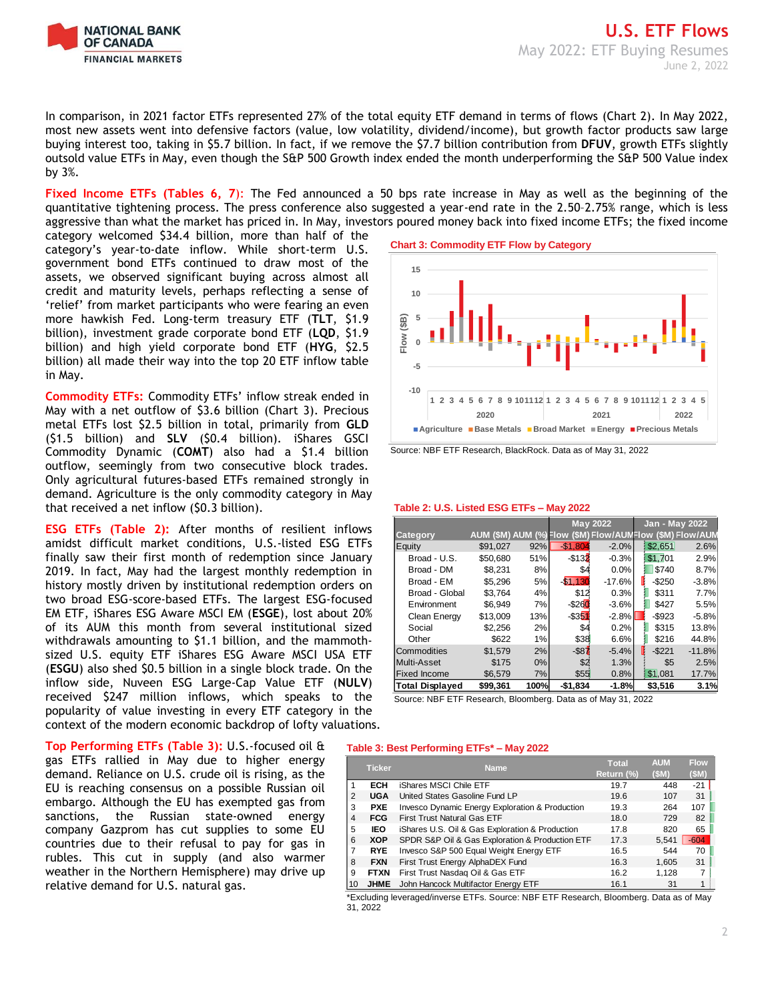

In comparison, in 2021 factor ETFs represented 27% of the total equity ETF demand in terms of flows (Chart 2). In May 2022, most new assets went into defensive factors (value, low volatility, dividend/income), but growth factor products saw large buying interest too, taking in \$5.7 billion. In fact, if we remove the \$7.7 billion contribution from **DFUV**, growth ETFs slightly outsold value ETFs in May, even though the S&P 500 Growth index ended the month underperforming the S&P 500 Value index by 3%.

**Fixed Income ETFs (Tables 6, 7**): The Fed announced a 50 bps rate increase in May as well as the beginning of the quantitative tightening process. The press conference also suggested a year-end rate in the 2.50–2.75% range, which is less aggressive than what the market has priced in. In May, investors poured money back into fixed income ETFs; the fixed income

category welcomed \$34.4 billion, more than half of the category's year-to-date inflow. While short-term U.S. government bond ETFs continued to draw most of the assets, we observed significant buying across almost all credit and maturity levels, perhaps reflecting a sense of 'relief' from market participants who were fearing an even more hawkish Fed. Long-term treasury ETF (**TLT**, \$1.9 billion), investment grade corporate bond ETF (**LQD**, \$1.9 billion) and high yield corporate bond ETF (**HYG**, \$2.5 billion) all made their way into the top 20 ETF inflow table in May.

**Commodity ETFs:** Commodity ETFs' inflow streak ended in May with a net outflow of \$3.6 billion (Chart 3). Precious metal ETFs lost \$2.5 billion in total, primarily from **GLD** (\$1.5 billion) and **SLV** (\$0.4 billion). iShares GSCI Commodity Dynamic (**COMT**) also had a \$1.4 billion outflow, seemingly from two consecutive block trades. Only agricultural futures-based ETFs remained strongly in demand. Agriculture is the only commodity category in May that received a net inflow (\$0.3 billion).

**ESG ETFs (Table 2):** After months of resilient inflows amidst difficult market conditions, U.S.-listed ESG ETFs finally saw their first month of redemption since January 2019. In fact, May had the largest monthly redemption in history mostly driven by institutional redemption orders on two broad ESG-score-based ETFs. The largest ESG-focused EM ETF, iShares ESG Aware MSCI EM (**ESGE**), lost about 20% of its AUM this month from several institutional sized withdrawals amounting to \$1.1 billion, and the mammothsized U.S. equity ETF iShares ESG Aware MSCI USA ETF (**ESGU**) also shed \$0.5 billion in a single block trade. On the inflow side, Nuveen ESG Large-Cap Value ETF (**NULV**) received \$247 million inflows, which speaks to the popularity of value investing in every ETF category in the context of the modern economic backdrop of lofty valuations.

**Top Performing ETFs (Table 3):** U.S.-focused oil & gas ETFs rallied in May due to higher energy demand. Reliance on U.S. crude oil is rising, as the EU is reaching consensus on a possible Russian oil embargo. Although the EU has exempted gas from sanctions, the Russian state-owned energy company Gazprom has cut supplies to some EU countries due to their refusal to pay for gas in rubles. This cut in supply (and also warmer weather in the Northern Hemisphere) may drive up relative demand for U.S. natural gas.

**Chart 3: Commodity ETF Flow by Category**



Source: NBF ETF Research, BlackRock. Data as of May 31, 2022

#### **Table 2: U.S. Listed ESG ETFs – May 2022**

|                        |          |      |             | <b>May 2022</b> | Jan - May 2022                                           |          |
|------------------------|----------|------|-------------|-----------------|----------------------------------------------------------|----------|
| Category               |          |      |             |                 | AUM (\$M) AUM (%) Flow (\$M) Flow/AUMFlow (\$M) Flow/AUM |          |
| Equity                 | \$91,027 | 92%  | $-$1.80$    | $-2.0%$         | \$2,651                                                  | 2.6%     |
| Broad - U.S.           | \$50.680 | 51%  | $-$ \$132   | $-0.3%$         | \$1,701                                                  | 2.9%     |
| Broad - DM             | \$8.231  | 8%   | \$4         | 0.0%            | \$740                                                    | 8.7%     |
| Broad - EM             | \$5.296  | 5%   | $-$ \$1.130 | $-17.6%$        | $-$ \$250                                                | $-3.8%$  |
| Broad - Global         | \$3.764  | 4%   | \$12        | 0.3%            | \$311                                                    | 7.7%     |
| Environment            | \$6.949  | 7%   | $-$ \$260   | $-3.6%$         | \$427                                                    | 5.5%     |
| Clean Energy           | \$13.009 | 13%  | $-$ \$351   | $-2.8%$         | $-$ \$923                                                | $-5.8%$  |
| Social                 | \$2.256  | 2%   | \$4         | 0.2%            | \$315                                                    | 13.8%    |
| Other                  | \$622    | 1%   | \$38        | 6.6%            | \$216                                                    | 44.8%    |
| Commodities            | \$1.579  | 2%   | $-$ \$87    | $-5.4%$         | $-$ \$221<br>H                                           | $-11.8%$ |
| Multi-Asset            | \$175    | 0%   | \$2         | 1.3%            | \$5                                                      | 2.5%     |
| <b>Fixed Income</b>    | \$6.579  | 7%   | \$55        | 0.8%            | \$1,081                                                  | 17.7%    |
| <b>Total Displayed</b> | \$99.361 | 100% | $-$1.834$   | $-1.8%$         | \$3,516                                                  | 3.1%     |

Source: NBF ETF Research, Bloomberg. Data as of May 31, 2022

## **Table 3: Best Performing ETFs\* – May 2022**

|    | <b>Ticker</b> | <b>Name</b>                                     | <b>Total</b> | <b>AUM</b> | <b>Flow</b> |
|----|---------------|-------------------------------------------------|--------------|------------|-------------|
|    |               |                                                 | Return (%)   | (SM)       | (SM)        |
|    | <b>ECH</b>    | iShares MSCI Chile ETF                          | 19.7         | 448        | $-21$       |
| 2  | <b>UGA</b>    | United States Gasoline Fund LP                  | 19.6         | 107        | 31          |
| 3  | <b>PXE</b>    | Invesco Dynamic Energy Exploration & Production | 19.3         | 264        | 107         |
| 4  | <b>FCG</b>    | <b>First Trust Natural Gas ETF</b>              | 18.0         | 729        | 82          |
| 5  | <b>IEO</b>    | iShares U.S. Oil & Gas Exploration & Production | 17.8         | 820        | 65          |
| 6  | <b>XOP</b>    | SPDR S&P Oil & Gas Exploration & Production ETF | 17.3         | 5,541      | $-604$      |
|    | <b>RYE</b>    | Invesco S&P 500 Equal Weight Energy ETF         | 16.5         | 544        | 70          |
| 8  | <b>FXN</b>    | First Trust Energy AlphaDEX Fund                | 16.3         | 1,605      | 31          |
| 9  | <b>FTXN</b>   | First Trust Nasdag Oil & Gas ETF                | 16.2         | 1.128      |             |
| 10 | <b>JHME</b>   | John Hancock Multifactor Energy ETF             | 16.1         | 31         |             |

\*Excluding leveraged/inverse ETFs. Source: NBF ETF Research, Bloomberg. Data as of May 31, 2022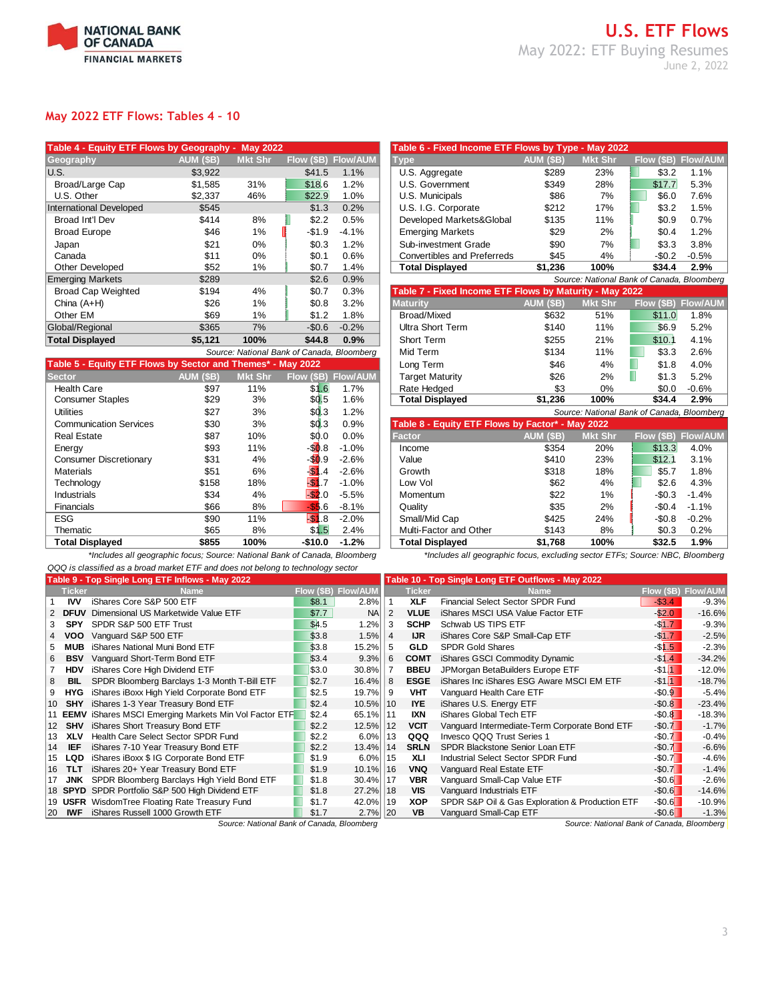

## **U.S. ETF Flows** May 2022: ETF Buying Resumes June 2, 2022

## **May 2022 ETF Flows: Tables 4 – 10**

| Table 4 - Equity ETF Flows by Geography - |                  | <b>May 2022</b> |                                            |                 | Table 6 - Fixed Income ETF Flows by Type - May 2022     |                  |                                          |            |                |  |
|-------------------------------------------|------------------|-----------------|--------------------------------------------|-----------------|---------------------------------------------------------|------------------|------------------------------------------|------------|----------------|--|
| Geography                                 | <b>AUM (\$B)</b> | <b>Mkt Shr</b>  | Flow (\$B)                                 | <b>Flow/AUM</b> | <b>Type</b>                                             | <b>AUM (\$B)</b> | <b>Mkt Shr</b>                           | Flow (SB)  | <b>Flow/AL</b> |  |
| U.S.                                      | \$3,922          |                 | \$41.5                                     | 1.1%            | U.S. Aggregate                                          | \$289            | 23%                                      | \$3.2      | 1.1%           |  |
| Broad/Large Cap                           | \$1,585          | 31%             | \$18.6                                     | 1.2%            | U.S. Government                                         | \$349            | 28%                                      | \$17.7     | 5.3%           |  |
| U.S. Other                                | \$2,337          | 46%             | \$22.9                                     | 1.0%            | U.S. Municipals                                         | \$86             | 7%                                       | \$6.0      | 7.6%           |  |
| <b>International Developed</b>            | \$545            |                 | \$1.3                                      | 0.2%            | U.S. I.G. Corporate                                     | \$212            | 17%                                      | \$3.2      | 1.5%           |  |
| Broad Int'l Dev                           | \$414            | 8%              | \$2.2                                      | 0.5%            | Developed Markets&Global                                | \$135            | 11%                                      | \$0.9      | 0.7%           |  |
| <b>Broad Europe</b>                       | \$46             | 1%              | $-$1.9$                                    | $-4.1%$         | <b>Emerging Markets</b>                                 | \$29             | 2%                                       | \$0.4\$    | 1.2%           |  |
| Japan                                     | \$21             | $0\%$           | \$0.3                                      | 1.2%            | Sub-investment Grade                                    | \$90             | 7%                                       | \$3.3      | 3.8%           |  |
| Canada                                    | \$11             | 0%              | \$0.1                                      | 0.6%            | <b>Convertibles and Preferreds</b>                      | \$45             | 4%                                       | $-$0.2$    | $-0.5%$        |  |
| <b>Other Developed</b>                    | \$52             | 1%              | \$0.7                                      | 1.4%            | <b>Total Displayed</b>                                  | \$1,236          | 100%                                     | \$34.4     | 2.9%           |  |
| <b>Emerging Markets</b>                   | \$289            |                 | \$2.6                                      | 0.9%            |                                                         |                  | Source: National Bank of Canada, Bloombe |            |                |  |
| <b>Broad Cap Weighted</b>                 | \$194            | 4%              | \$0.7                                      | 0.3%            | Table 7 - Fixed Income ETF Flows by Maturity - May 2022 |                  |                                          |            |                |  |
| China $(A+H)$                             | \$26             | 1%              | \$0.8                                      | 3.2%            | <b>Maturity</b>                                         | AUM (\$B)        | <b>Mkt Shr</b>                           | Flow (\$B) | Flow/AL        |  |
| Other EM                                  | \$69             | 1%              | \$1.2                                      | 1.8%            | Broad/Mixed                                             | \$632            | 51%                                      | \$11.0     | $1.8\%$        |  |
| Global/Regional                           | \$365            | 7%              | $-$0.6$                                    | $-0.2%$         | Ultra Short Term                                        | \$140            | 11%                                      | \$6.9      | 5.2%           |  |
| <b>Total Displayed</b>                    | \$5,121          | 100%            | \$44.8                                     | 0.9%            | Short Term                                              | \$255            | 21%                                      | \$10.1     | 4.1%           |  |
|                                           |                  |                 | Source: National Bank of Canada, Bloomberg |                 | Mid Term                                                | \$134            | 11%                                      | \$3.3      | 2.6%           |  |

|                                                             |           |                | Source. National Barik of Canada, Bloomberg |                     | MIG I GIII                                       | +-ت ن     | 1170           | აა.ა                                     | Z.O.70  |
|-------------------------------------------------------------|-----------|----------------|---------------------------------------------|---------------------|--------------------------------------------------|-----------|----------------|------------------------------------------|---------|
| Table 5 - Equity ETF Flows by Sector and Themes* - May 2022 |           |                |                                             |                     | Long Term                                        | \$46      | 4%             | \$1.8                                    | 4.0%    |
| <b>Sector</b>                                               | AUM (\$B) | <b>Mkt Shr</b> |                                             | Flow (\$B) Flow/AUM | <b>Target Maturity</b>                           | \$26      | 2%             | \$1.3                                    | 5.2%    |
| <b>Health Care</b>                                          | \$97      | 11%            | \$1.6                                       | 1.7%                | Rate Hedged                                      | \$3       | 0%             | \$0.0                                    | $-0.6%$ |
| <b>Consumer Staples</b>                                     | \$29      | 3%             | \$0.5                                       | 1.6%                | <b>Total Displayed</b>                           | \$1.236   | 100%           | \$34.4                                   | 2.9%    |
| <b>Utilities</b>                                            | \$27      | 3%             | \$0.3                                       | 1.2%                |                                                  |           |                | Source: National Bank of Canada, Bloombe |         |
| <b>Communication Services</b>                               | \$30      | 3%             | \$0.3                                       | 0.9%                | Table 8 - Equity ETF Flows by Factor* - May 2022 |           |                |                                          |         |
| <b>Real Estate</b>                                          | \$87      | 10%            | \$0.0                                       | 0.0%                | <b>Factor</b>                                    | AUM (\$B) | <b>Mkt Shr</b> | Flow (\$B)                               | Flow/AL |
| Energy                                                      | \$93      | 11%            | $-$ \$0.8                                   | $-1.0%$             | Income                                           | \$354     | 20%            | \$13.3                                   | 4.0%    |
| Consumer Discretionary                                      | \$31      | 4%             | $-50.9$                                     | $-2.6%$             | Value                                            | \$410     | 23%            | \$12.1                                   | 3.1%    |
| <b>Materials</b>                                            | \$51      | 6%             | $\overline{\mathbb{S}}$<br>.4               | $-2.6%$             | Growth                                           | \$318     | 18%            | \$5.7                                    | 1.8%    |
| Technology                                                  | \$158     | 18%            | S                                           | $-1.0%$             | Low Vol                                          | \$62      | 4%             | \$2.6                                    | 4.3%    |
| Industrials                                                 | \$34      | 4%             | $-520$                                      | $-5.5%$             | Momentum                                         | \$22      | 1%             | $-$0.3$                                  | $-1.4%$ |
| <b>Financials</b>                                           | \$66      | 8%             | i.6                                         | $-8.1%$             | Quality                                          | \$35      | 2%             | $-$0.4$                                  | $-1.1%$ |
| <b>ESG</b>                                                  | \$90      | 11%            | $-51.8$                                     | $-2.0%$             | Small/Mid Cap                                    | \$425     | 24%            | $-$0.8$                                  | $-0.2%$ |
| Thematic                                                    | \$65      | 8%             | \$1.5                                       | 2.4%                | Multi-Factor and Other                           | \$143     | 8%             | \$0.3                                    | 0.2%    |
| <b>Total Displayed</b>                                      | \$855     | 100%           | $-$10.0$                                    | $-1.2%$             | <b>Total Displayed</b>                           | \$1.768   | 100%           | \$32.5                                   | 1.9%    |

*QQQ is classified as a broad market ETF and does not belong to technology sector*

| Table 4 - Equity ETF Flows by Geography -                   |                  | <b>May 2022</b> |                                            |         | Table 6 - Fixed Income ETF Flows by Type - May 2022     |                  |                                            |            |                 |
|-------------------------------------------------------------|------------------|-----------------|--------------------------------------------|---------|---------------------------------------------------------|------------------|--------------------------------------------|------------|-----------------|
| Geography                                                   | AUM (\$B)        | <b>Mkt Shr</b>  | Flow (\$B) Flow/AUM                        |         | <b>Type</b>                                             | <b>AUM (\$B)</b> | <b>Mkt Shr</b>                             | Flow (\$B) | <b>Flow/AUM</b> |
| U.S.                                                        | \$3,922          |                 | \$41.5                                     | 1.1%    | U.S. Aggregate                                          | \$289            | 23%                                        | \$3.2      | 1.1%            |
| Broad/Large Cap                                             | \$1,585          | 31%             | \$18.6                                     | 1.2%    | U.S. Government                                         | \$349            | 28%                                        | \$17.7     | 5.3%            |
| U.S. Other                                                  | \$2,337          | 46%             | \$22.9                                     | 1.0%    | U.S. Municipals                                         | \$86             | 7%                                         | \$6.0      | 7.6%            |
| <b>International Developed</b>                              | \$545            |                 | \$1.3                                      | 0.2%    | U.S. I.G. Corporate                                     | \$212            | 17%                                        | \$3.2      | 1.5%            |
| Broad Int'l Dev                                             | \$414            | 8%              | \$2.2                                      | 0.5%    | Developed Markets&Global                                | \$135            | 11%                                        | \$0.9      | 0.7%            |
| <b>Broad Europe</b>                                         | \$46             | 1%              | $-$1.9$                                    | $-4.1%$ | <b>Emerging Markets</b>                                 | \$29             | 2%                                         | \$0.4      | 1.2%            |
| Japan                                                       | \$21             | 0%              | \$0.3                                      | 1.2%    | Sub-investment Grade                                    | \$90             | 7%                                         | \$3.3      | 3.8%            |
| Canada                                                      | \$11             | 0%              | \$0.1                                      | 0.6%    | <b>Convertibles and Preferreds</b>                      | \$45             | 4%                                         | $-$0.2$    | $-0.5%$         |
| Other Developed                                             | \$52             | 1%              | \$0.7                                      | 1.4%    | <b>Total Displayed</b>                                  | \$1,236          | 100%                                       | \$34.4     | 2.9%            |
| <b>Emerging Markets</b>                                     | \$289            |                 | \$2.6                                      | 0.9%    |                                                         |                  | Source: National Bank of Canada, Bloomberg |            |                 |
| <b>Broad Cap Weighted</b>                                   | \$194            | 4%              | \$0.7                                      | 0.3%    | Table 7 - Fixed Income ETF Flows by Maturity - May 2022 |                  |                                            |            |                 |
| China $(A+H)$                                               | \$26             | 1%              | \$0.8                                      | 3.2%    | <b>Maturity</b>                                         | AUM (\$B)        | <b>Mkt Shr</b>                             | Flow (\$B) | <b>Flow/AUM</b> |
| Other EM                                                    | \$69             | 1%              | \$1.2                                      | 1.8%    | <b>Broad/Mixed</b>                                      | \$632            | 51%                                        | \$11.0     | 1.8%            |
| Global/Regional                                             | \$365            | 7%              | $-$0.6$                                    | $-0.2%$ | <b>Ultra Short Term</b>                                 | \$140            | 11%                                        | \$6.9      | 5.2%            |
| <b>Total Displayed</b>                                      | \$5,121          | 100%            | \$44.8                                     | 0.9%    | Short Term                                              | \$255            | 21%                                        | \$10.1     | 4.1%            |
|                                                             |                  |                 | Source: National Bank of Canada, Bloomberg |         | Mid Term                                                | \$134            | 11%                                        | \$3.3      | 2.6%            |
| Table 5 - Equity ETF Flows by Sector and Themes* - May 2022 |                  |                 |                                            |         | Long Term                                               | \$46             | 4%                                         | \$1.8      | 4.0%            |
| Sector                                                      | <b>AUM (\$B)</b> | <b>Mkt Shr</b>  | Flow (\$B) Flow/AUM                        |         | <b>Target Maturity</b>                                  | \$26             | 2%                                         | \$1.3      | 5.2%            |
| <b>Health Care</b>                                          | \$97             | 11%             | \$1.6                                      | 1.7%    | Rate Hedged                                             | \$3              | 0%                                         | \$0.0      | $-0.6%$         |
| <b>Consumer Staples</b>                                     | \$29             | 3%              | \$0.5                                      | 1.6%    | <b>Total Displayed</b>                                  | \$1,236          | 100%                                       | \$34.4     | 2.9%            |
| <b>Utilities</b>                                            | \$27             | 3%              | \$d3                                       | 1.2%    |                                                         |                  | Source: National Bank of Canada, Bloomberg |            |                 |
| <b>Communication Services</b>                               | \$30             | 3%              | \$0.3                                      | 0.9%    | Table 8 - Equity ETF Flows by Factor* - May 2022        |                  |                                            |            |                 |
| <b>Real Estate</b>                                          | \$87             | 10%             | \$0.0                                      | 0.0%    | <b>Factor</b>                                           | <b>AUM (\$B)</b> | <b>Mkt Shr</b>                             | Flow (\$B) | <b>Flow/AUM</b> |
| Energy                                                      | \$93             | 11%             | $-50.8$                                    | $-1.0%$ | Income                                                  | \$354            | 20%                                        | \$13.3     | 4.0%            |
| <b>Consumer Discretionary</b>                               | \$31             | 4%              | $-$ \$0.9                                  | $-2.6%$ | Value                                                   | \$410            | 23%                                        | \$12.1     | 3.1%            |
| <b>Materials</b>                                            | \$51             | 6%              | $-52$<br>.4                                | $-2.6%$ | Growth                                                  | \$318            | 18%                                        | \$5.7      | 1.8%            |
| Technology                                                  | \$158            | 18%             | $-51$<br>$\overline{.7}$                   | $-1.0%$ | Low Vol                                                 | \$62             | 4%                                         | \$2.6      | 4.3%            |
| Industrials                                                 | \$34             | 4%              | $-52.0$                                    | $-5.5%$ | Momentum                                                | \$22             | 1%                                         | $-$0.3$    | $-1.4%$         |

*\*Includes all geographic focus; Source: National Bank of Canada, Bloomberg \*Includes all geographic focus, excluding sector ETFs; Source: NBC, Bloomberg*

|                 |               | Table 9 - Top Single Long ETF Inflows - May 2022         |       |                     | Table 10 - Top Single Long ETF Outflows - May 2022 |               |                                                 |            |                 |  |
|-----------------|---------------|----------------------------------------------------------|-------|---------------------|----------------------------------------------------|---------------|-------------------------------------------------|------------|-----------------|--|
|                 | <b>Ticker</b> | <b>Name</b>                                              |       | Flow (\$B) Flow/AUM |                                                    | <b>Ticker</b> | <b>Name</b>                                     | Flow (\$B) | <b>Flow/AUM</b> |  |
|                 | <b>IVV</b>    | iShares Core S&P 500 ETF                                 | \$8.1 | 2.8%                |                                                    | <b>XLF</b>    | Financial Select Sector SPDR Fund               | $-$3.4$    | $-9.3%$         |  |
|                 | <b>DFUV</b>   | Dimensional US Marketwide Value ETF                      | \$7.7 | <b>NA</b>           | $\mathcal{P}$                                      | <b>VLUE</b>   | iShares MSCI USA Value Factor ETF               | $-52.0$    | $-16.6%$        |  |
| 3               | <b>SPY</b>    | SPDR S&P 500 ETF Trust                                   | \$4.5 | 1.2%                | 3                                                  | <b>SCHP</b>   | Schwab US TIPS ETF                              | $-$ \$1.7  | $-9.3%$         |  |
| 4               | VOO.          | Vanguard S&P 500 ETF                                     | \$3.8 | 1.5%                | 4                                                  | <b>IJR</b>    | iShares Core S&P Small-Cap ETF                  | $-$ \$1.7  | $-2.5%$         |  |
| 5.              | <b>MUB</b>    | iShares National Muni Bond ETF                           | \$3.8 | 15.2%               | 5                                                  | <b>GLD</b>    | <b>SPDR Gold Shares</b>                         | $-$1.5$    | $-2.3%$         |  |
| 6               | <b>BSV</b>    | Vanguard Short-Term Bond ETF                             | \$3.4 | 9.3%                | 6                                                  | <b>COMT</b>   | iShares GSCI Commodity Dynamic                  | $-$1.4$    | $-34.2%$        |  |
|                 | <b>HDV</b>    | iShares Core High Dividend ETF                           | \$3.0 | 30.8%               |                                                    | <b>BBEU</b>   | JPMorgan BetaBuilders Europe ETF                | $-$ \$1.1  | $-12.0%$        |  |
| 8               | <b>BIL</b>    | SPDR Bloomberg Barclays 1-3 Month T-Bill ETF             | \$2.7 | 16.4%               | 8                                                  | <b>ESGE</b>   | iShares Inc iShares ESG Aware MSCI EM ETF       | $-$ \$1.1  | $-18.7%$        |  |
| 9               | <b>HYG</b>    | iShares iBoxx High Yield Corporate Bond ETF              | \$2.5 | 19.7%               | 9                                                  | <b>VHT</b>    | Vanguard Health Care ETF                        | $-50.9$    | $-5.4%$         |  |
| 10              | <b>SHY</b>    | iShares 1-3 Year Treasury Bond ETF                       | \$2.4 | 10.5% 10            |                                                    | <b>IYE</b>    | iShares U.S. Energy ETF                         | $-$0.8$    | $-23.4%$        |  |
|                 |               | 11 EEMV iShares MSCI Emerging Markets Min Vol Factor ETF | \$2.4 | 65.1% 11            |                                                    | <b>IXN</b>    | iShares Global Tech ETF                         | $-$0.8$    | $-18.3%$        |  |
| 12 <sup>2</sup> | <b>SHV</b>    | iShares Short Treasury Bond ETF                          | \$2.2 | 12.5% 12            |                                                    | <b>VCIT</b>   | Vanguard Intermediate-Term Corporate Bond ETF   | $-$0.7$    | $-1.7%$         |  |
| 13              | <b>XLV</b>    | Health Care Select Sector SPDR Fund                      | \$2.2 | 6.0%                | 13                                                 | QQQ           | Invesco QQQ Trust Series 1                      | $-$0.7$    | $-0.4%$         |  |
| 14              | IEF           | iShares 7-10 Year Treasury Bond ETF                      | \$2.2 | 13.4%               | 14                                                 | <b>SRLN</b>   | SPDR Blackstone Senior Loan ETF                 | $-$ \$0.7  | $-6.6%$         |  |
| 15              | <b>LQD</b>    | iShares iBoxx \$ IG Corporate Bond ETF                   | \$1.9 | $6.0\%$   15        |                                                    | XLI           | Industrial Select Sector SPDR Fund              | $-$ \$0.7  | $-4.6%$         |  |
| 16.             | TLT           | iShares 20+ Year Treasury Bond ETF                       | \$1.9 | 10.1%               | 16                                                 | <b>VNQ</b>    | Vanguard Real Estate ETF                        | $-$0.7$    | $-1.4%$         |  |
| 17              |               | <b>JNK</b> SPDR Bloomberg Barclays High Yield Bond ETF   | \$1.8 | 30.4% 17            |                                                    | <b>VBR</b>    | Vanguard Small-Cap Value ETF                    | $-$ \$0.6  | $-2.6%$         |  |
|                 |               | 18 SPYD SPDR Portfolio S&P 500 High Dividend ETF         | \$1.8 | 27.2% 18            |                                                    | <b>VIS</b>    | Vanguard Industrials ETF                        | $-$0.6$    | $-14.6%$        |  |
|                 |               | 19 USFR Wisdom Tree Floating Rate Treasury Fund          | \$1.7 | 42.0% 19            |                                                    | XOP           | SPDR S&P Oil & Gas Exploration & Production ETF | $-$ \$0.6  | $-10.9%$        |  |
| 20              | <b>IWF</b>    | iShares Russell 1000 Growth ETF                          | \$1.7 | $2.7\%$ 20          |                                                    | <b>VB</b>     | Vanquard Small-Cap ETF                          | $-$ \$0.6  | $-1.3%$         |  |

*Source: National Bank of Canada, Bloomberg Source: National Bank of Canada, Bloomberg*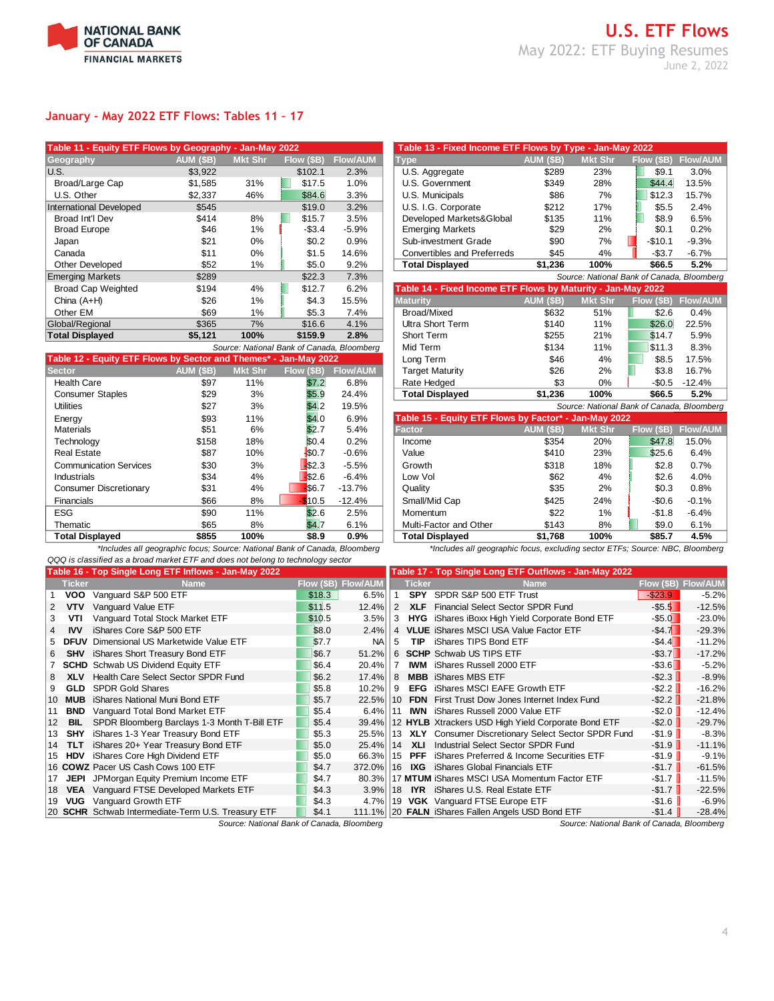

## **January - May 2022 ETF Flows: Tables 11 – 17**

| Table 11 - Equity ETF Flows by Geography - Jan-May 2022 |                  |                |                                            |                 | Table 13 - Fixed Income ETF Flows by Type - Jan-May 2022     |                  |                                            |            |                 |
|---------------------------------------------------------|------------------|----------------|--------------------------------------------|-----------------|--------------------------------------------------------------|------------------|--------------------------------------------|------------|-----------------|
| Geography                                               | <b>AUM (\$B)</b> | <b>Mkt Shr</b> | Flow (\$B)                                 | <b>Flow/AUM</b> | <b>Type</b>                                                  | <b>AUM (\$B)</b> | <b>Mkt Shr</b>                             | Flow (\$B) | <b>Flow/AUM</b> |
| U.S.                                                    | \$3,922          |                | \$102.1                                    | 2.3%            | U.S. Aggregate                                               | \$289            | 23%                                        | \$9.1      | 3.0%            |
| Broad/Large Cap                                         | \$1,585          | 31%            | \$17.5                                     | 1.0%            | U.S. Government                                              | \$349            | 28%                                        | \$44.4     | 13.5%           |
| U.S. Other                                              | \$2,337          | 46%            | \$84.6                                     | 3.3%            | U.S. Municipals                                              | \$86             | 7%                                         | \$12.3     | 15.7%           |
| <b>International Developed</b>                          | \$545            |                | \$19.0                                     | 3.2%            | U.S. I.G. Corporate                                          | \$212            | 17%                                        | \$5.5      | 2.4%            |
| Broad Int'l Dev                                         | \$414            | 8%             | \$15.7                                     | 3.5%            | Developed Markets&Global                                     | \$135            | 11%                                        | \$8.9      | 6.5%            |
| <b>Broad Europe</b>                                     | \$46             | 1%             | $-$ \$3.4                                  | $-5.9%$         | <b>Emerging Markets</b>                                      | \$29             | 2%                                         | \$0.1      | 0.2%            |
| Japan                                                   | \$21             | $0\%$          | \$0.2                                      | 0.9%            | Sub-investment Grade                                         | \$90             | 7%                                         | $-$10.1$   | $-9.3%$         |
| Canada                                                  | \$11             | $0\%$          | \$1.5                                      | 14.6%           | Convertibles and Preferreds                                  | \$45             | 4%                                         | $- $3.7$   | $-6.7%$         |
| Other Developed                                         | \$52             | 1%             | \$5.0                                      | 9.2%            | <b>Total Displayed</b>                                       | \$1,236          | 100%                                       | \$66.5     | 5.2%            |
| <b>Emerging Markets</b>                                 | \$289            |                | \$22.3                                     | 7.3%            |                                                              |                  | Source: National Bank of Canada, Bloomberg |            |                 |
| <b>Broad Cap Weighted</b>                               | \$194            | 4%             | \$12.7                                     | 6.2%            | Table 14 - Fixed Income ETF Flows by Maturity - Jan-May 2022 |                  |                                            |            |                 |
| China $(A+H)$                                           | \$26             | 1%             | \$4.3                                      | 15.5%           | <b>Maturity</b>                                              | <b>AUM (\$B)</b> | <b>Mkt Shr</b>                             | Flow (\$B) | <b>Flow/AUM</b> |
| Other EM                                                | \$69             | 1%             | \$5.3                                      | 7.4%            | Broad/Mixed                                                  | \$632            | 51%                                        | \$2.6      | 0.4%            |
| Global/Regional                                         | \$365            | 7%             | \$16.6                                     | 4.1%            | Ultra Short Term                                             | \$140            | 11%                                        | \$26.0     | 22.5%           |
| <b>Total Displayed</b>                                  | \$5,121          | 100%           | \$159.9                                    | 2.8%            | Short Term                                                   | \$255            | 21%                                        | \$14.7     | 5.9%            |
|                                                         |                  |                | Source: National Bank of Canada, Bloomberg |                 | Mid Term                                                     | \$134            | 11%                                        | \$11.3     | 8.3%            |

| Table 12 - Equity ETF Flows by Sector and Themes* - Jan-May 2022 |                  |         |            |                 | Long Term                                             | \$46             | 4%                                       | \$8.5      | 17.5%          |
|------------------------------------------------------------------|------------------|---------|------------|-----------------|-------------------------------------------------------|------------------|------------------------------------------|------------|----------------|
| <b>Sector</b>                                                    | <b>AUM (\$B)</b> | Mkt Shr | Flow (\$B) | <b>Flow/AUM</b> | <b>Target Maturity</b>                                | \$26             | 2%                                       | \$3.8      | 16.7%          |
| <b>Health Care</b>                                               | \$97             | 11%     | \$7.2      | 6.8%            | Rate Hedged                                           | \$3              | 0%                                       | $-$0.5$    | -12.4%         |
| <b>Consumer Staples</b>                                          | \$29             | 3%      | \$5.9      | 24.4%           | <b>Total Displayed</b>                                | \$1,236          | 100%                                     | \$66.5     | 5.2%           |
| <b>Utilities</b>                                                 | \$27             | 3%      | \$4.2      | 19.5%           |                                                       |                  | Source: National Bank of Canada, Bloombe |            |                |
| Energy                                                           | \$93             | 11%     | \$4.0      | 6.9%            | Table 15 - Equity ETF Flows by Factor* - Jan-May 2022 |                  |                                          |            |                |
| <b>Materials</b>                                                 | \$51             | 6%      | \$2.7      | 5.4%            | Factor                                                | <b>AUM (\$B)</b> | <b>Mkt Shr</b>                           | Flow (\$B) | <b>Flow/AU</b> |
| Technology                                                       | \$158            | 18%     | \$0.4      | 0.2%            | Income                                                | \$354            | 20%                                      | \$47.8     | 15.0%          |
| <b>Real Estate</b>                                               | \$87             | 10%     | \$0.7      | $-0.6%$         | Value                                                 | \$410            | 23%                                      | \$25.6     | 6.4%           |
| <b>Communication Services</b>                                    | \$30             | 3%      | \$2.3      | $-5.5%$         | Growth                                                | \$318            | 18%                                      | \$2.8      | 0.7%           |
| Industrials                                                      | \$34             | 4%      | \$2.6      | $-6.4%$         | Low Vol                                               | \$62             | 4%                                       | \$2.6      | 4.0%           |
| <b>Consumer Discretionary</b>                                    | \$31             | 4%      | \$6.7      | $-13.7%$        | Quality                                               | \$35             | 2%                                       | \$0.3      | 0.8%           |
| Financials                                                       | \$66             | 8%      | $-10.5$    | $-12.4%$        | Small/Mid Cap                                         | \$425            | 24%                                      | $-$0.6$    | $-0.1%$        |
| <b>ESG</b>                                                       | \$90             | 11%     | \$2.6      | 2.5%            | Momentum                                              | \$22             | 1%                                       | $-$1.8$    | $-6.4%$        |
| Thematic                                                         | \$65             | 8%      | \$4.7      | 6.1%            | Multi-Factor and Other                                | \$143            | 8%                                       | \$9.0      | 6.1%           |
| <b>Total Displayed</b>                                           | \$855            | 100%    | \$8.9      | 0.9%            | <b>Total Displayed</b>                                | \$1,768          | 100%                                     | \$85.7     | 4.5%           |
|                                                                  |                  |         |            |                 |                                                       |                  |                                          |            |                |

*\*Includes all geographic focus; Source: National Bank of Canada, Bloomberg \*Includes all geographic focus, excluding sector ETFs; Source: NBC, Bloomberg QQQ is classified as a broad market ETF and does not belong to technology sector*

| Table 16 - Top Single Long ETF Inflows - Jan-May 2022 |
|-------------------------------------------------------|
|                                                       |

| — ч…,                                                           |                  | $var: max \rightarrow $ |                                            |                 | $\ldots$ we allow the $\ldots$ . The state $\ldots$          |                  | $-0.011$ $-0.01$                           | $-1$       |                 |
|-----------------------------------------------------------------|------------------|-------------------------|--------------------------------------------|-----------------|--------------------------------------------------------------|------------------|--------------------------------------------|------------|-----------------|
| eography                                                        | <b>AUM (\$B)</b> | <b>Mkt Shr</b>          | Flow (\$B)                                 | <b>Flow/AUM</b> | <b>Type</b>                                                  | AUM (\$B)        | Mkt Shr                                    | Flow (\$B) | <b>Flow/AUM</b> |
| S.                                                              | \$3,922          |                         | \$102.1                                    | 2.3%            | U.S. Aggregate                                               | \$289            | 23%                                        | \$9.1      | 3.0%            |
| Broad/Large Cap                                                 | \$1.585          | 31%                     | \$17.5                                     | 1.0%            | U.S. Government                                              | \$349            | 28%                                        | \$44.4     | 13.5%           |
| U.S. Other                                                      | \$2,337          | 46%                     | \$84.6                                     | 3.3%            | U.S. Municipals                                              | \$86             | 7%                                         | \$12.3     | 15.7%           |
| ternational Developed                                           | \$545            |                         | \$19.0                                     | 3.2%            | U.S. I.G. Corporate                                          | \$212            | 17%                                        | \$5.5      | 2.4%            |
| Broad Int'l Dev                                                 | \$414            | 8%                      | \$15.7                                     | 3.5%            | Developed Markets&Global                                     | \$135            | 11%                                        | \$8.9      | 6.5%            |
| <b>Broad Europe</b>                                             | \$46             | 1%                      | $-$3.4$                                    | $-5.9%$         | <b>Emerging Markets</b>                                      | \$29             | 2%                                         | \$0.1      | 0.2%            |
| Japan                                                           | \$21             | 0%                      | \$0.2                                      | 0.9%            | Sub-investment Grade                                         | \$90             | 7%                                         | $-$10.1$   | $-9.3%$         |
| Canada                                                          | \$11             | 0%                      | \$1.5                                      | 14.6%           | Convertibles and Preferreds                                  | \$45             | 4%                                         | $-$3.7$    | $-6.7%$         |
| <b>Other Developed</b>                                          | \$52             | 1%                      | \$5.0                                      | 9.2%            | <b>Total Displayed</b>                                       | \$1,236          | 100%                                       | \$66.5     | 5.2%            |
| merging Markets                                                 | \$289            |                         | \$22.3                                     | 7.3%            |                                                              |                  | Source: National Bank of Canada, Bloomberg |            |                 |
| <b>Broad Cap Weighted</b>                                       | \$194            | 4%                      | \$12.7                                     | 6.2%            | Table 14 - Fixed Income ETF Flows by Maturity - Jan-May 2022 |                  |                                            |            |                 |
| China (A+H)                                                     | \$26             | 1%                      | \$4.3                                      | 15.5%           | <b>Maturity</b>                                              | <b>AUM (\$B)</b> | <b>Mkt Shr</b>                             | Flow (\$B) | <b>Flow/AUM</b> |
| Other EM                                                        | \$69             | 1%                      | \$5.3                                      | 7.4%            | Broad/Mixed                                                  | \$632            | 51%                                        | \$2.6      | 0.4%            |
| lobal/Regional                                                  | \$365            | 7%                      | \$16.6                                     | 4.1%            | <b>Ultra Short Term</b>                                      | \$140            | 11%                                        | \$26.0     | 22.5%           |
| otal Displayed                                                  | \$5,121          | 100%                    | \$159.9                                    | 2.8%            | Short Term                                                   | \$255            | 21%                                        | \$14.7     | 5.9%            |
|                                                                 |                  |                         | Source: National Bank of Canada, Bloomberg |                 | Mid Term                                                     | \$134            | 11%                                        | \$11.3     | 8.3%            |
| able 12 - Equity ETF Flows by Sector and Themes* - Jan-May 2022 |                  |                         |                                            |                 | Long Term                                                    | \$46             | 4%                                         | \$8.5      | 17.5%           |
| ector                                                           | AUM (\$B)        | <b>Mkt Shr</b>          | Flow (\$B)                                 | <b>Flow/AUM</b> | <b>Target Maturity</b>                                       | \$26             | 2%                                         | \$3.8      | 16.7%           |
| <b>Health Care</b>                                              | \$97             | 11%                     | \$7.2                                      | 6.8%            | Rate Hedged                                                  | \$3              | 0%                                         | $-$0.5$    | $-12.4%$        |
| <b>Consumer Staples</b>                                         | \$29             | 3%                      | \$5.9                                      | 24.4%           | <b>Total Displayed</b>                                       | \$1.236          | 100%                                       | \$66.5     | 5.2%            |
| Utilities                                                       | \$27             | 3%                      | \$4.2                                      | 19.5%           |                                                              |                  | Source: National Bank of Canada, Bloomberg |            |                 |
| Energy                                                          | \$93             | 11%                     | \$4.0                                      | 6.9%            | Table 15 - Equity ETF Flows by Factor* - Jan-May 2022        |                  |                                            |            |                 |
| Materials                                                       | \$51             | 6%                      | \$2.7                                      | 5.4%            | <b>Factor</b>                                                | <b>AUM (\$B)</b> | <b>Mkt Shr</b>                             | Flow (\$B) | <b>Flow/AUM</b> |
| Technology                                                      | \$158            | 18%                     | \$0.4                                      | 0.2%            | Income                                                       | \$354            | 20%                                        | \$47.8     | 15.0%           |
| Real Estate                                                     | \$87             | 10%                     | \$0.7                                      | $-0.6%$         | Value                                                        | \$410            | 23%                                        | \$25.6     | 6.4%            |
| <b>Communication Services</b>                                   | \$30             | 3%                      | \$2.3                                      | $-5.5%$         | Growth                                                       | \$318            | 18%                                        | \$2.8      | 0.7%            |
| Industrials                                                     | \$34             | 4%                      | \$2.6                                      | $-6.4%$         | Low Vol                                                      | \$62             | 4%                                         | \$2.6      | 4.0%            |
| <b>Consumer Discretionary</b>                                   | \$31             | 4%                      | \$6.7                                      | $-13.7%$        | Quality                                                      | \$35             | 2%                                         | \$0.3      | 0.8%            |
| Financials                                                      | \$66             | 8%                      | \$10.5                                     | $-12.4%$        | Small/Mid Cap                                                | \$425            | 24%                                        | $-$0.6$    | $-0.1%$         |
| ESG                                                             | \$90             | 11%                     | \$2.6                                      | 2.5%            | Momentum                                                     | \$22             | 1%                                         | $-$1.8$    | $-6.4%$         |
| Thematic                                                        | \$65             | 8%                      | \$4.7                                      | 6.1%            | Multi-Factor and Other                                       | \$143            | 8%                                         | \$9.0      | 6.1%            |
| <b>Total Displayed</b>                                          | \$855            | 100%                    | \$8.9                                      | 0.9%            | <b>Total Displayed</b>                                       | \$1.768          | 100%                                       | \$85.7     | 4.5%            |

|                 |               | Table 16 - Top Single Long ETF Inflows - Jan-May 2022 |        |                     |              |               | Table 17 - Top Single Long ETF Outflows - Jan-May 2022 |                          |                     |
|-----------------|---------------|-------------------------------------------------------|--------|---------------------|--------------|---------------|--------------------------------------------------------|--------------------------|---------------------|
|                 | <b>Ticker</b> | <b>Name</b>                                           |        | Flow (\$B) Flow/AUM |              | <b>Ticker</b> | <b>Name</b>                                            |                          | Flow (\$B) Flow/AUM |
|                 | <b>VOO</b>    | Vanguard S&P 500 ETF                                  | \$18.3 | 6.5%                |              | <b>SPY</b>    | SPDR S&P 500 ETF Trust                                 | $-$ \$23.9               | $-5.2%$             |
| $\overline{2}$  | <b>VTV</b>    | Vanguard Value ETF                                    | \$11.5 | 12.4%               | 2            | <b>XLF</b>    | Financial Select Sector SPDR Fund                      | $-$ \$5.5                | $-12.5%$            |
| 3               | VTI           | Vanguard Total Stock Market ETF                       | \$10.5 | 3.5%                | 3            |               | HYG iShares iBoxx High Yield Corporate Bond ETF        | $-$ \$5.0                | $-23.0%$            |
| 4               | <b>IVV</b>    | iShares Core S&P 500 ETF                              | \$8.0  | 2.4%                |              |               | 4 VLUE iShares MSCI USA Value Factor ETF               | $-$4.7$                  | $-29.3%$            |
|                 | 5 DFUV        | Dimensional US Marketwide Value ETF                   | \$7.7  | <b>NA</b>           | 5            | <b>TIP</b>    | iShares TIPS Bond ETF                                  | $-$ \$4.4                | $-11.2%$            |
| 6               | SHV           | iShares Short Treasury Bond ETF                       | \$6.7  | 51.2%               | 6            |               | <b>SCHP</b> Schwab US TIPS ETF                         | $-$ \$3.7 $\blacksquare$ | $-17.2%$            |
|                 |               | 7 SCHD Schwab US Dividend Equity ETF                  | \$6.4  | 20.4%               |              |               | <b>IWM</b> iShares Russell 2000 ETF                    | $-$ \$3.6                | $-5.2%$             |
| 8               | <b>XLV</b>    | Health Care Select Sector SPDR Fund                   | \$6.2  | 17.4%               | 8            |               | <b>MBB</b> iShares MBS ETF                             | $-$ \$2.3                | $-8.9%$             |
|                 | 9 GLD         | <b>SPDR Gold Shares</b>                               | \$5.8  | 10.2%               | 9            |               | <b>EFG</b> iShares MSCI EAFE Growth ETF                | $-$ \$2.2                | $-16.2%$            |
| 10              | MUB           | iShares National Muni Bond ETF                        | \$5.7  | 22.5%               | $ 10\rangle$ |               | <b>FDN</b> First Trust Dow Jones Internet Index Fund   | $-$ \$2.2                | $-21.8%$            |
| 11              | <b>BND</b>    | Vanguard Total Bond Market ETF                        | \$5.4  | 6.4%                | 11           |               | <b>IWN</b> iShares Russell 2000 Value ETF              | $-$ \$2.0                | $-12.4%$            |
| 12 <sup>2</sup> | BIL           | SPDR Bloomberg Barclays 1-3 Month T-Bill ETF          | \$5.4  | 39.4%               |              |               | 12 HYLB Xtrackers USD High Yield Corporate Bond ETF    | $-$ \$2.0                | $-29.7%$            |
|                 | 13 <b>SHY</b> | iShares 1-3 Year Treasury Bond ETF                    | \$5.3  | 25.5%               |              |               | 13 XLY Consumer Discretionary Select Sector SPDR Fund  | $-$ \$1.9                | $-8.3%$             |
|                 | 14 TLT        | iShares 20+ Year Treasury Bond ETF                    | \$5.0  | 25.4% 14            |              | XLI           | Industrial Select Sector SPDR Fund                     | $-$1.9$                  | $-11.1%$            |
|                 | 15 HDV        | iShares Core High Dividend ETF                        | \$5.0  | 66.3%               | 15           | <b>PFF</b>    | iShares Preferred & Income Securities ETF              | $-$1.9$                  | $-9.1%$             |
|                 |               | 16 COWZ Pacer US Cash Cows 100 ETF                    | \$4.7  | 372.0%              | 16           |               | <b>IXG</b> iShares Global Financials ETF               | $-$ \$1.7                | $-61.5%$            |
|                 | 17 JEPI       | JPMorgan Equity Premium Income ETF                    | \$4.7  | 80.3%               |              |               | 17 MTUM iShares MSCI USA Momentum Factor ETF           | $-$ \$1.7                | $-11.5%$            |
| 18              | <b>VEA</b>    | Vanguard FTSE Developed Markets ETF                   | \$4.3  | 3.9%                | 18           |               | <b>IYR</b> iShares U.S. Real Estate ETF                | $-$ \$1.7                | $-22.5%$            |
|                 |               | 19 VUG Vanguard Growth ETF                            | \$4.3  |                     |              |               | 4.7% 19 VGK Vanguard FTSE Europe ETF                   | $-$1.6$                  | $-6.9%$             |
|                 |               | 20 SCHR Schwab Intermediate-Term U.S. Treasury ETF    | \$4.1  |                     |              |               | 111.1% 20 FALN iShares Fallen Angels USD Bond ETF      | $-$1.4$                  | $-28.4%$            |
|                 |               | Source: National Bank of Canada, Bloomberg            |        |                     |              |               | Source: National Bank of Canada, Bloomberg             |                          |                     |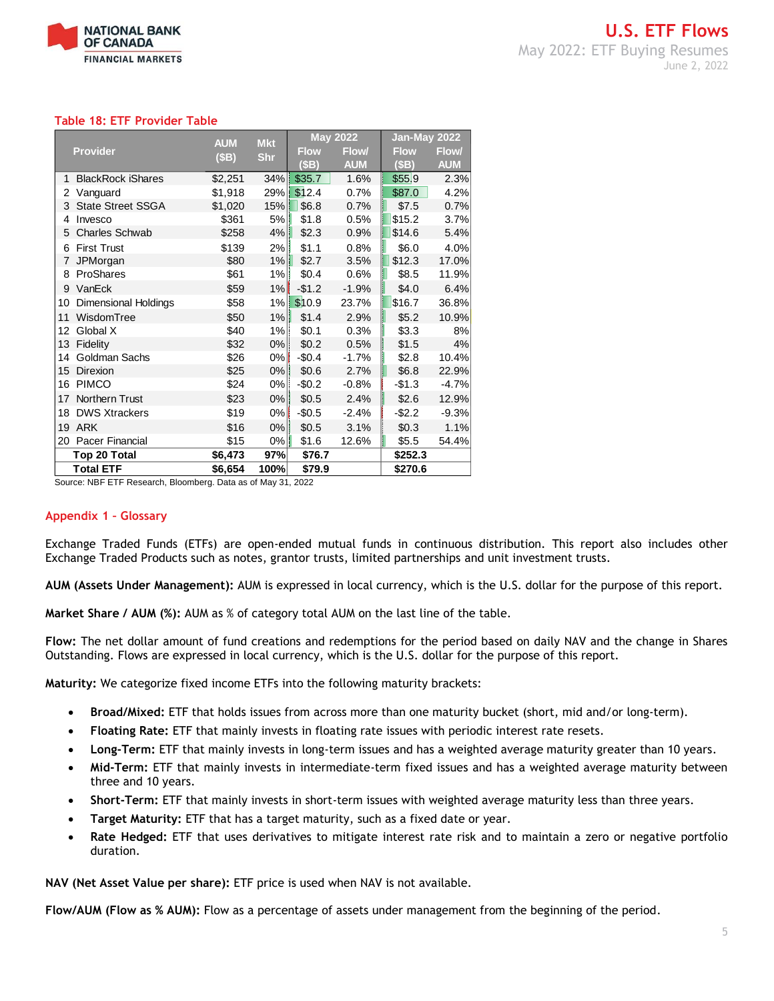

## **Table 18: ETF Provider Table**

| <b>Provider</b> |                             | <b>AUM</b><br>(SB) | <b>Mkt</b><br><b>Shr</b> | <b>May 2022</b> |            | Jan-May 2022 |              |
|-----------------|-----------------------------|--------------------|--------------------------|-----------------|------------|--------------|--------------|
|                 |                             |                    |                          | <b>Flow</b>     | Flow/      | <b>Flow</b>  | <b>Flow/</b> |
|                 |                             |                    |                          | (\$B)           | <b>AUM</b> | (SB)         | <b>AUM</b>   |
| 1               | <b>BlackRock iShares</b>    | \$2,251            | 34%                      | \$35.7          | 1.6%       | \$55.9       | 2.3%         |
| 2               | Vanguard                    | \$1,918            | 29%                      | \$12.4          | 0.7%       | \$87.0       | 4.2%         |
| 3               | <b>State Street SSGA</b>    | \$1,020            | 15%                      | \$6.8           | 0.7%       | \$7.5        | 0.7%         |
| 4               | Invesco                     | \$361              | 5%                       | \$1.8           | 0.5%       | \$15.2       | 3.7%         |
| 5               | <b>Charles Schwab</b>       | \$258              | 4%                       | \$2.3           | 0.9%       | \$14.6       | 5.4%         |
| 6               | <b>First Trust</b>          | \$139              | 2%                       | \$1.1           | 0.8%       | \$6.0        | 4.0%         |
| 7               | JPMorgan                    | \$80               | 1%                       | \$2.7           | 3.5%       | \$12.3       | 17.0%        |
| 8               | ProShares                   | \$61               | 1%                       | \$0.4           | 0.6%       | \$8.5        | 11.9%        |
| 9               | VanEck                      | \$59               | 1%                       | $-$1.2$         | $-1.9%$    | \$4.0        | 6.4%         |
| 10              | <b>Dimensional Holdings</b> | \$58               | 1%                       | \$10.9          | 23.7%      | \$16.7       | 36.8%        |
| 11              | WisdomTree                  | \$50               | 1%                       | \$1.4           | 2.9%       | \$5.2        | 10.9%        |
| 12              | Global X                    | \$40               | 1%                       | \$0.1           | 0.3%       | \$3.3        | 8%           |
| 13              | Fidelity                    | \$32               | 0%                       | \$0.2           | 0.5%       | \$1.5        | 4%           |
| 14              | Goldman Sachs               | \$26               | 0%                       | $-$0.4$         | $-1.7%$    | \$2.8        | 10.4%        |
| 15              | Direxion                    | \$25               | 0%                       | \$0.6           | 2.7%       | \$6.8        | 22.9%        |
| 16              | <b>PIMCO</b>                | \$24               | 0%                       | $-$0.2$         | $-0.8%$    | $-$1.3$      | $-4.7%$      |
| 17              | <b>Northern Trust</b>       | \$23               | 0%                       | \$0.5           | 2.4%       | \$2.6        | 12.9%        |
| 18              | <b>DWS Xtrackers</b>        | \$19               | 0%                       | $-$0.5$         | $-2.4%$    | $-$2.2$      | $-9.3%$      |
| 19              | <b>ARK</b>                  | \$16               | 0%                       | \$0.5           | 3.1%       | \$0.3        | 1.1%         |
| 20              | Pacer Financial             | \$15               | 0%                       | \$1.6           | 12.6%      | \$5.5        | 54.4%        |
|                 | Top 20 Total                | \$6,473            | 97%                      | \$76.7          |            | \$252.3      |              |
|                 | <b>Total ETF</b>            | \$6,654            | 100%                     | \$79.9          |            | \$270.6      |              |

Source: NBF ETF Research, Bloomberg. Data as of May 31, 2022

## **Appendix 1 – Glossary**

Exchange Traded Funds (ETFs) are open-ended mutual funds in continuous distribution. This report also includes other Exchange Traded Products such as notes, grantor trusts, limited partnerships and unit investment trusts.

**AUM (Assets Under Management):** AUM is expressed in local currency, which is the U.S. dollar for the purpose of this report.

**Market Share / AUM (%):** AUM as % of category total AUM on the last line of the table.

**Flow:** The net dollar amount of fund creations and redemptions for the period based on daily NAV and the change in Shares Outstanding. Flows are expressed in local currency, which is the U.S. dollar for the purpose of this report.

**Maturity:** We categorize fixed income ETFs into the following maturity brackets:

- **Broad/Mixed:** ETF that holds issues from across more than one maturity bucket (short, mid and/or long-term).
- **Floating Rate:** ETF that mainly invests in floating rate issues with periodic interest rate resets.
- **Long-Term:** ETF that mainly invests in long-term issues and has a weighted average maturity greater than 10 years.
- **Mid-Term:** ETF that mainly invests in intermediate-term fixed issues and has a weighted average maturity between three and 10 years.
- **Short-Term:** ETF that mainly invests in short-term issues with weighted average maturity less than three years.
- **Target Maturity:** ETF that has a target maturity, such as a fixed date or year.
- **Rate Hedged:** ETF that uses derivatives to mitigate interest rate risk and to maintain a zero or negative portfolio duration.

**NAV (Net Asset Value per share):** ETF price is used when NAV is not available.

**Flow/AUM (Flow as % AUM):** Flow as a percentage of assets under management from the beginning of the period.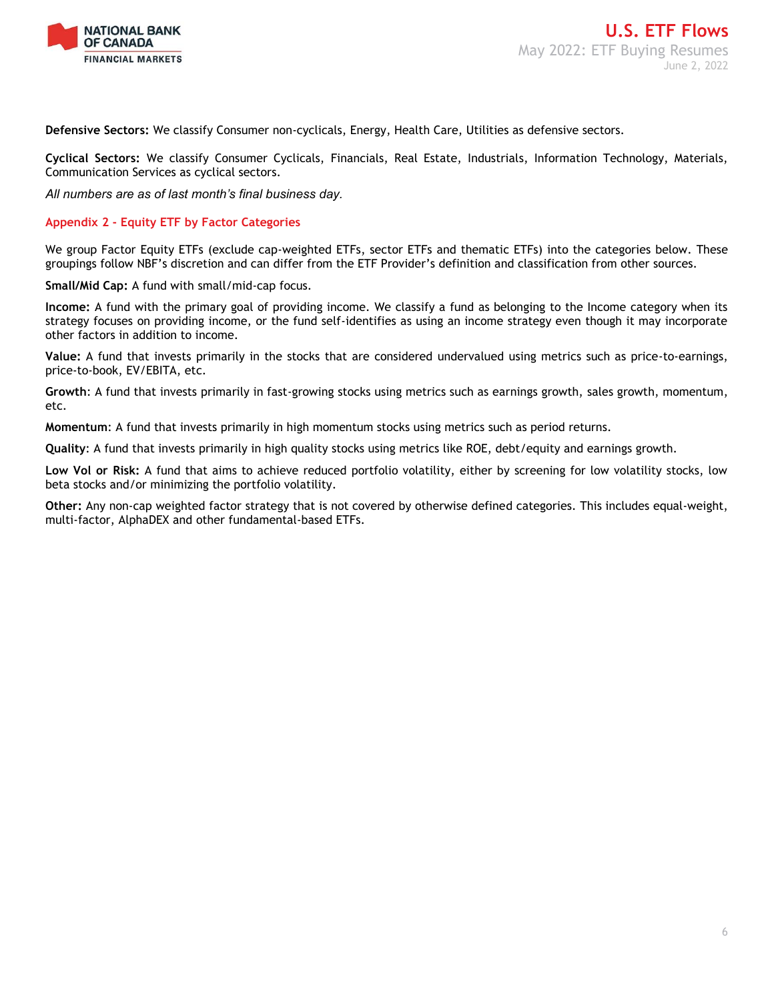

**Defensive Sectors:** We classify Consumer non-cyclicals, Energy, Health Care, Utilities as defensive sectors.

**Cyclical Sectors:** We classify Consumer Cyclicals, Financials, Real Estate, Industrials, Information Technology, Materials, Communication Services as cyclical sectors.

*All numbers are as of last month's final business day.* 

## **Appendix 2 - Equity ETF by Factor Categories**

We group Factor Equity ETFs (exclude cap-weighted ETFs, sector ETFs and thematic ETFs) into the categories below. These groupings follow NBF's discretion and can differ from the ETF Provider's definition and classification from other sources.

**Small/Mid Cap:** A fund with small/mid-cap focus.

**Income:** A fund with the primary goal of providing income. We classify a fund as belonging to the Income category when its strategy focuses on providing income, or the fund self-identifies as using an income strategy even though it may incorporate other factors in addition to income.

**Value:** A fund that invests primarily in the stocks that are considered undervalued using metrics such as price-to-earnings, price-to-book, EV/EBITA, etc.

**Growth**: A fund that invests primarily in fast-growing stocks using metrics such as earnings growth, sales growth, momentum, etc.

**Momentum**: A fund that invests primarily in high momentum stocks using metrics such as period returns.

**Quality**: A fund that invests primarily in high quality stocks using metrics like ROE, debt/equity and earnings growth.

**Low Vol or Risk:** A fund that aims to achieve reduced portfolio volatility, either by screening for low volatility stocks, low beta stocks and/or minimizing the portfolio volatility.

**Other:** Any non-cap weighted factor strategy that is not covered by otherwise defined categories. This includes equal-weight, multi-factor, AlphaDEX and other fundamental-based ETFs.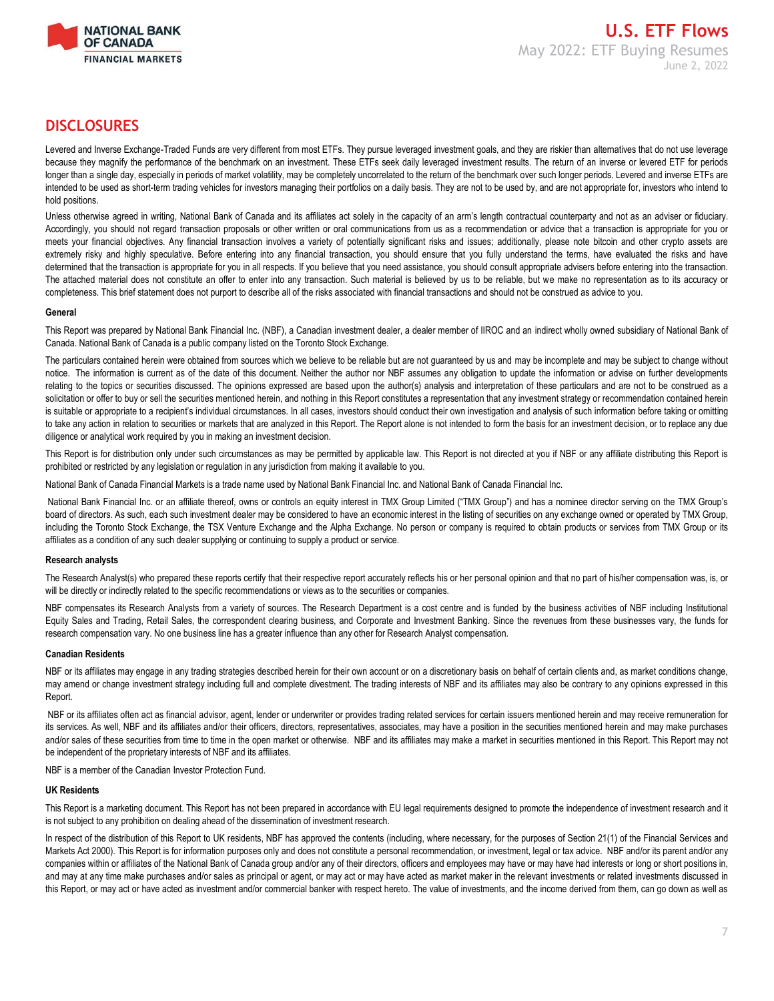

## **DISCLOSURES**

Levered and Inverse Exchange-Traded Funds are very different from most ETFs. They pursue leveraged investment goals, and they are riskier than alternatives that do not use leverage because they magnify the performance of the benchmark on an investment. These ETFs seek daily leveraged investment results. The return of an inverse or levered ETF for periods longer than a single day, especially in periods of market volatility, may be completely uncorrelated to the return of the benchmark over such longer periods. Levered and inverse ETFs are intended to be used as short-term trading vehicles for investors managing their portfolios on a daily basis. They are not to be used by, and are not appropriate for, investors who intend to hold positions.

Unless otherwise agreed in writing, National Bank of Canada and its affiliates act solely in the capacity of an arm's length contractual counterparty and not as an adviser or fiduciary. Accordingly, you should not regard transaction proposals or other written or oral communications from us as a recommendation or advice that a transaction is appropriate for you or meets your financial objectives. Any financial transaction involves a variety of potentially significant risks and issues; additionally, please note bitcoin and other crypto assets are extremely risky and highly speculative. Before entering into any financial transaction, you should ensure that you fully understand the terms, have evaluated the risks and have determined that the transaction is appropriate for you in all respects. If you believe that you need assistance, you should consult appropriate advisers before entering into the transaction. The attached material does not constitute an offer to enter into any transaction. Such material is believed by us to be reliable, but we make no representation as to its accuracy or completeness. This brief statement does not purport to describe all of the risks associated with financial transactions and should not be construed as advice to you.

## **General**

This Report was prepared by National Bank Financial Inc. (NBF), a Canadian investment dealer, a dealer member of IIROC and an indirect wholly owned subsidiary of National Bank of Canada. National Bank of Canada is a public company listed on the Toronto Stock Exchange.

The particulars contained herein were obtained from sources which we believe to be reliable but are not guaranteed by us and may be incomplete and may be subject to change without notice. The information is current as of the date of this document. Neither the author nor NBF assumes any obligation to update the information or advise on further developments relating to the topics or securities discussed. The opinions expressed are based upon the author(s) analysis and interpretation of these particulars and are not to be construed as a solicitation or offer to buy or sell the securities mentioned herein, and nothing in this Report constitutes a representation that any investment strategy or recommendation contained herein is suitable or appropriate to a recipient's individual circumstances. In all cases, investors should conduct their own investigation and analysis of such information before taking or omitting to take any action in relation to securities or markets that are analyzed in this Report. The Report alone is not intended to form the basis for an investment decision, or to replace any due diligence or analytical work required by you in making an investment decision.

This Report is for distribution only under such circumstances as may be permitted by applicable law. This Report is not directed at you if NBF or any affiliate distributing this Report is prohibited or restricted by any legislation or regulation in any jurisdiction from making it available to you.

National Bank of Canada Financial Markets is a trade name used by National Bank Financial Inc. and National Bank of Canada Financial Inc.

National Bank Financial Inc. or an affiliate thereof, owns or controls an equity interest in TMX Group Limited ("TMX Group") and has a nominee director serving on the TMX Group's board of directors. As such, each such investment dealer may be considered to have an economic interest in the listing of securities on any exchange owned or operated by TMX Group, including the Toronto Stock Exchange, the TSX Venture Exchange and the Alpha Exchange. No person or company is required to obtain products or services from TMX Group or its affiliates as a condition of any such dealer supplying or continuing to supply a product or service.

## **Research analysts**

The Research Analyst(s) who prepared these reports certify that their respective report accurately reflects his or her personal opinion and that no part of his/her compensation was, is, or will be directly or indirectly related to the specific recommendations or views as to the securities or companies.

NBF compensates its Research Analysts from a variety of sources. The Research Department is a cost centre and is funded by the business activities of NBF including Institutional Equity Sales and Trading, Retail Sales, the correspondent clearing business, and Corporate and Investment Banking. Since the revenues from these businesses vary, the funds for research compensation vary. No one business line has a greater influence than any other for Research Analyst compensation.

## **Canadian Residents**

NBF or its affiliates may engage in any trading strategies described herein for their own account or on a discretionary basis on behalf of certain clients and, as market conditions change, may amend or change investment strategy including full and complete divestment. The trading interests of NBF and its affiliates may also be contrary to any opinions expressed in this Report.

NBF or its affiliates often act as financial advisor, agent, lender or underwriter or provides trading related services for certain issuers mentioned herein and may receive remuneration for its services. As well, NBF and its affiliates and/or their officers, directors, representatives, associates, may have a position in the securities mentioned herein and may make purchases and/or sales of these securities from time to time in the open market or otherwise. NBF and its affiliates may make a market in securities mentioned in this Report. This Report may not be independent of the proprietary interests of NBF and its affiliates.

NBF is a member of the Canadian Investor Protection Fund.

## **UK Residents**

This Report is a marketing document. This Report has not been prepared in accordance with EU legal requirements designed to promote the independence of investment research and it is not subject to any prohibition on dealing ahead of the dissemination of investment research.

In respect of the distribution of this Report to UK residents, NBF has approved the contents (including, where necessary, for the purposes of Section 21(1) of the Financial Services and Markets Act 2000). This Report is for information purposes only and does not constitute a personal recommendation, or investment, legal or tax advice. NBF and/or its parent and/or any companies within or affiliates of the National Bank of Canada group and/or any of their directors, officers and employees may have or may have had interests or long or short positions in, and may at any time make purchases and/or sales as principal or agent, or may act or may have acted as market maker in the relevant investments or related investments discussed in this Report, or may act or have acted as investment and/or commercial banker with respect hereto. The value of investments, and the income derived from them, can go down as well as